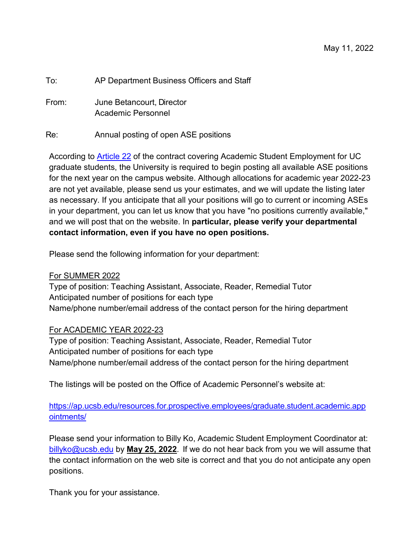| To:   | AP Department Business Officers and Staff |
|-------|-------------------------------------------|
| From: | June Betancourt. Director                 |

Academic Personnel

## Re: Annual posting of open ASE positions

According to **Article 22** of the contract covering Academic Student Employment for UC graduate students, the University is required to begin posting all available ASE positions for the next year on the campus website. Although allocations for academic year 2022-23 are not yet available, please send us your estimates, and we will update the listing later as necessary. If you anticipate that all your positions will go to current or incoming ASEs in your department, you can let us know that you have "no positions currently available," and we will post that on the website. In **particular, please verify your departmental contact information, even if you have no open positions.**

Please send the following information for your department:

## For SUMMER 2022

Type of position: Teaching Assistant, Associate, Reader, Remedial Tutor Anticipated number of positions for each type Name/phone number/email address of the contact person for the hiring department

## For ACADEMIC YEAR 2022-23

Type of position: Teaching Assistant, Associate, Reader, Remedial Tutor Anticipated number of positions for each type Name/phone number/email address of the contact person for the hiring department

The listings will be posted on the Office of Academic Personnel's website at:

[https://ap.ucsb.edu/resources.for.prospective.employees/graduate.student.academic.app](https://ap.ucsb.edu/resources.for.prospective.employees/graduate.student.academic.appointments/) [ointments/](https://ap.ucsb.edu/resources.for.prospective.employees/graduate.student.academic.appointments/)

Please send your information to Billy Ko, Academic Student Employment Coordinator at: [billyko@ucsb.edu](mailto:billyko@ucsb.edu) by **May 25, 2022**. If we do not hear back from you we will assume that the contact information on the web site is correct and that you do not anticipate any open positions.

Thank you for your assistance.